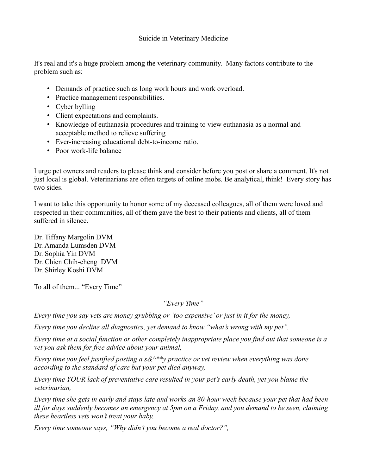## Suicide in Veterinary Medicine

It's real and it's a huge problem among the veterinary community. Many factors contribute to the problem such as:

- Demands of practice such as long work hours and work overload.
- Practice management responsibilities.
- Cyber bylling
- Client expectations and complaints.
- Knowledge of euthanasia procedures and training to view euthanasia as a normal and acceptable method to relieve suffering
- Ever-increasing educational debt-to-income ratio.
- Poor work-life balance

I urge pet owners and readers to please think and consider before you post or share a comment. It's not just local is global. Veterinarians are often targets of online mobs. Be analytical, think! Every story has two sides.

I want to take this opportunity to honor some of my deceased colleagues, all of them were loved and respected in their communities, all of them gave the best to their patients and clients, all of them suffered in silence.

Dr. Tiffany Margolin DVM Dr. Amanda Lumsden DVM Dr. Sophia Yin DVM Dr. Chien Chih-cheng DVM Dr. Shirley Koshi DVM

To all of them... "Every Time"

*"Every Time"*

*Every time you say vets are money grubbing or 'too expensive' or just in it for the money,*

*Every time you decline all diagnostics, yet demand to know "what's wrong with my pet",*

*Every time at a social function or other completely inappropriate place you find out that someone is a vet you ask them for free advice about your animal,*

*Every time you feel justified posting a s&^\*\*y practice or vet review when everything was done according to the standard of care but your pet died anyway,*

*Every time YOUR lack of preventative care resulted in your pet's early death, yet you blame the veterinarian,*

*Every time she gets in early and stays late and works an 80-hour week because your pet that had been ill for days suddenly becomes an emergency at 5pm on a Friday, and you demand to be seen, claiming these heartless vets won't treat your baby,*

*Every time someone says, "Why didn't you become a real doctor?",*